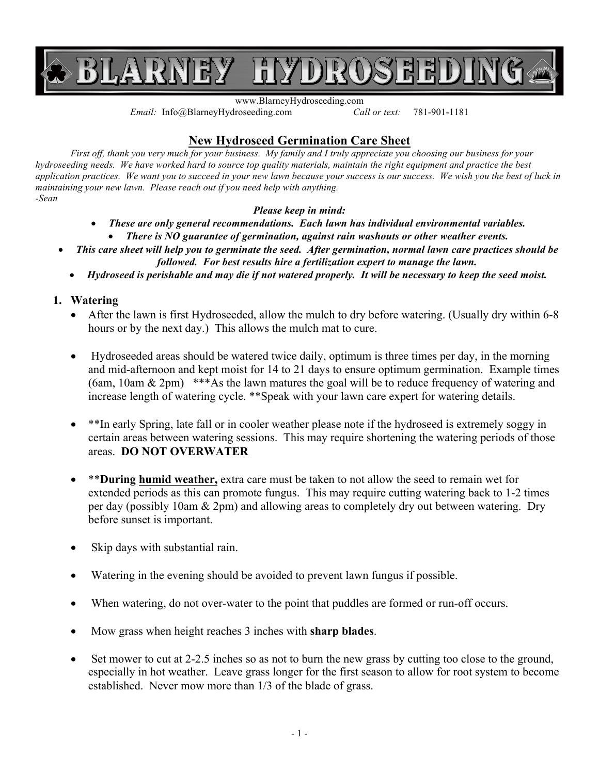# BLARNEY **HYDROSEEDING @**

www.BlarneyHydroseeding.com

*Email:* Info@BlarneyHydroseeding.com *Call or text:* 781-901-1181

# **New Hydroseed Germination Care Sheet**

*First off, thank you very much for your business. My family and I truly appreciate you choosing our business for your hydroseeding needs. We have worked hard to source top quality materials, maintain the right equipment and practice the best application practices. We want you to succeed in your new lawn because your success is our success. We wish you the best of luck in maintaining your new lawn. Please reach out if you need help with anything. -Sean*

# *Please keep in mind:*

- *These are only general recommendations. Each lawn has individual environmental variables.*
	- *There is NO guarantee of germination, against rain washouts or other weather events.*
- *This care sheet will help you to germinate the seed. After germination, normal lawn care practices should be followed. For best results hire a fertilization expert to manage the lawn.*
	- *Hydroseed is perishable and may die if not watered properly. It will be necessary to keep the seed moist.*

# **1. Watering**

- After the lawn is first Hydroseeded, allow the mulch to dry before watering. (Usually dry within 6-8) hours or by the next day.) This allows the mulch mat to cure.
- Hydroseeded areas should be watered twice daily, optimum is three times per day, in the morning and mid-afternoon and kept moist for 14 to 21 days to ensure optimum germination. Example times  $(6am, 10am \& 2pm)$  \*\*\*As the lawn matures the goal will be to reduce frequency of watering and increase length of watering cycle. \*\*Speak with your lawn care expert for watering details.
- \*\*In early Spring, late fall or in cooler weather please note if the hydroseed is extremely soggy in certain areas between watering sessions. This may require shortening the watering periods of those areas. **DO NOT OVERWATER**
- \*\***During humid weather,** extra care must be taken to not allow the seed to remain wet for extended periods as this can promote fungus. This may require cutting watering back to 1-2 times per day (possibly 10am & 2pm) and allowing areas to completely dry out between watering. Dry before sunset is important.
- Skip days with substantial rain.
- Watering in the evening should be avoided to prevent lawn fungus if possible.
- When watering, do not over-water to the point that puddles are formed or run-off occurs.
- Mow grass when height reaches 3 inches with **sharp blades**.
- Set mower to cut at 2-2.5 inches so as not to burn the new grass by cutting too close to the ground, especially in hot weather. Leave grass longer for the first season to allow for root system to become established. Never mow more than 1/3 of the blade of grass.